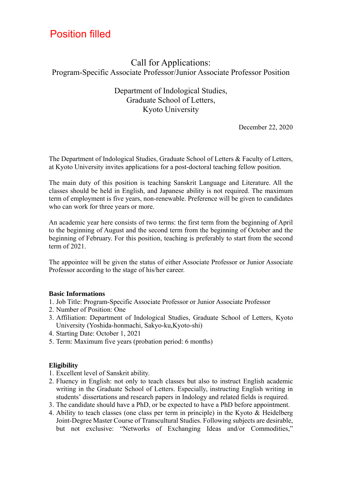# Position filled

# Call for Applications: Program-Specific Associate Professor/Junior Associate Professor Position

## Department of Indological Studies, Graduate School of Letters, Kyoto University

December 22, 2020

The Department of Indological Studies, Graduate School of Letters & Faculty of Letters, at Kyoto University invites applications for a post-doctoral teaching fellow position.

The main duty of this position is teaching Sanskrit Language and Literature. All the classes should be held in English, and Japanese ability is not required. The maximum term of employment is five years, non-renewable. Preference will be given to candidates who can work for three years or more.

An academic year here consists of two terms: the first term from the beginning of April to the beginning of August and the second term from the beginning of October and the beginning of February. For this position, teaching is preferably to start from the second term of 2021.

The appointee will be given the status of either Associate Professor or Junior Associate Professor according to the stage of his/her career.

#### **Basic Informations**

- 1. Job Title: Program-Specific Associate Professor or Junior Associate Professor
- 2. Number of Position: One
- 3. Affiliation: Department of Indological Studies, Graduate School of Letters, Kyoto University (Yoshida-honmachi, Sakyo-ku,Kyoto-shi)
- 4. Starting Date: October 1, 2021
- 5. Term: Maximum five years (probation period: 6 months)

## **Eligibility**

- 1. Excellent level of Sanskrit ability.
- 2. Fluency in English: not only to teach classes but also to instruct English academic writing in the Graduate School of Letters. Especially, instructing English writing in students' dissertations and research papers in Indology and related fields is required.
- 3. The candidate should have a PhD, or be expected to have a PhD before appointment.
- 4. Ability to teach classes (one class per term in principle) in the Kyoto & Heidelberg Joint-Degree Master Course of Transcultural Studies. Following subjects are desirable, but not exclusive: "Networks of Exchanging Ideas and/or Commodities,"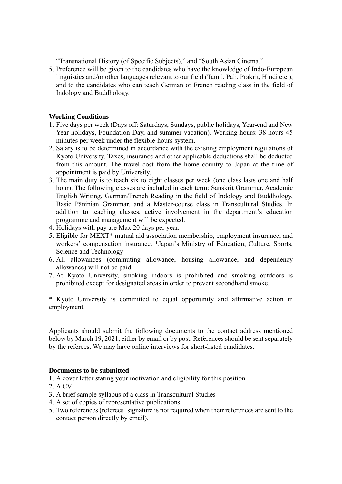"Transnational History (of Specific Subjects)," and "South Asian Cinema."

5. Preference will be given to the candidates who have the knowledge of Indo-European linguistics and/or other languages relevant to our field (Tamil, Pali, Prakrit, Hindi etc.), and to the candidates who can teach German or French reading class in the field of Indology and Buddhology.

### **Working Conditions**

- 1. Five days per week (Days off: Saturdays, Sundays, public holidays, Year-end and New Year holidays, Foundation Day, and summer vacation). Working hours: 38 hours 45 minutes per week under the flexible-hours system.
- 2. Salary is to be determined in accordance with the existing employment regulations of Kyoto University. Taxes, insurance and other applicable deductions shall be deducted from this amount. The travel cost from the home country to Japan at the time of appointment is paid by University.
- 3. The main duty is to teach six to eight classes per week (one class lasts one and half hour). The following classes are included in each term: Sanskrit Grammar, Academic English Writing, German/French Reading in the field of Indology and Buddhology, Basic Pāṇinian Grammar, and a Master-course class in Transcultural Studies. In addition to teaching classes, active involvement in the department's education programme and management will be expected.
- 4. Holidays with pay are Max 20 days per year.
- 5. Eligible for MEXT\* mutual aid association membership, employment insurance, and workers' compensation insurance. \*Japan's Ministry of Education, Culture, Sports, Science and Technology
- 6. All allowances (commuting allowance, housing allowance, and dependency allowance) will not be paid.
- 7. At Kyoto University, smoking indoors is prohibited and smoking outdoors is prohibited except for designated areas in order to prevent secondhand smoke.

\* Kyoto University is committed to equal opportunity and affirmative action in employment.

Applicants should submit the following documents to the contact address mentioned below by March 19, 2021, either by email or by post. References should be sent separately by the referees. We may have online interviews for short-listed candidates.

#### **Documents to be submitted**

1. A cover letter stating your motivation and eligibility for this position

- 2. A CV
- 3. A brief sample syllabus of a class in Transcultural Studies
- 4. A set of copies of representative publications
- 5. Two references (referees' signature is not required when their references are sent to the contact person directly by email).